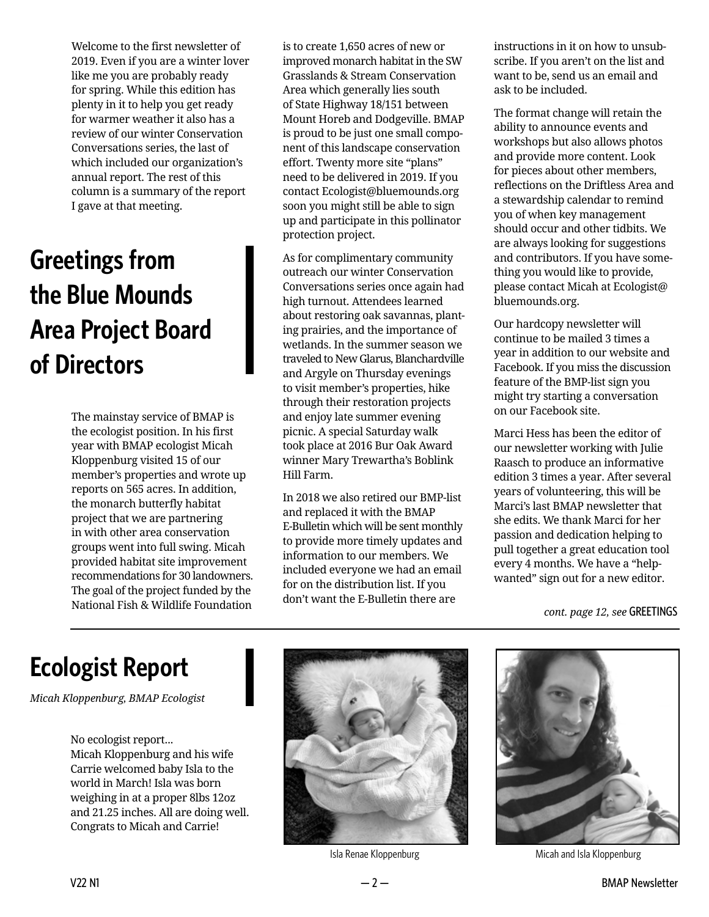Welcome to the first newsletter of 2019. Even if you are a winter lover like me you are probably ready for spring. While this edition has plenty in it to help you get ready for warmer weather it also has a review of our winter Conservation Conversations series, the last of which included our organization's annual report. The rest of this column is a summary of the report I gave at that meeting.

## **Greetings from the Blue Mounds Area Project Board of Directors**

The mainstay service of BMAP is the ecologist position. In his first year with BMAP ecologist Micah Kloppenburg visited 15 of our member's properties and wrote up reports on 565 acres. In addition, the monarch butterfly habitat project that we are partnering in with other area conservation groups went into full swing. Micah provided habitat site improvement recommendations for 30 landowners. The goal of the project funded by the National Fish & Wildlife Foundation

is to create 1,650 acres of new or improved monarch habitat in the SW Grasslands & Stream Conservation Area which generally lies south of State Highway 18/151 between Mount Horeb and Dodgeville. BMAP is proud to be just one small component of this landscape conservation effort. Twenty more site "plans" need to be delivered in 2019. If you contact Ecologist@bluemounds.org soon you might still be able to sign up and participate in this pollinator protection project.

As for complimentary community outreach our winter Conservation Conversations series once again had high turnout. Attendees learned about restoring oak savannas, planting prairies, and the importance of wetlands. In the summer season we traveled to New Glarus, Blanchardville and Argyle on Thursday evenings to visit member's properties, hike through their restoration projects and enjoy late summer evening picnic. A special Saturday walk took place at 2016 Bur Oak Award winner Mary Trewartha's Boblink Hill Farm.

In 2018 we also retired our BMP-list and replaced it with the BMAP E-Bulletin which will be sent monthly to provide more timely updates and information to our members. We included everyone we had an email for on the distribution list. If you don't want the E-Bulletin there are

instructions in it on how to unsubscribe. If you aren't on the list and want to be, send us an email and ask to be included.

The format change will retain the ability to announce events and workshops but also allows photos and provide more content. Look for pieces about other members, reflections on the Driftless Area and a stewardship calendar to remind you of when key management should occur and other tidbits. We are always looking for suggestions and contributors. If you have something you would like to provide, please contact Micah at Ecologist@ bluemounds.org.

Our hardcopy newsletter will continue to be mailed 3 times a year in addition to our website and Facebook. If you miss the discussion feature of the BMP-list sign you might try starting a conversation on our Facebook site.

Marci Hess has been the editor of our newsletter working with Julie Raasch to produce an informative edition 3 times a year. After several years of volunteering, this will be Marci's last BMAP newsletter that she edits. We thank Marci for her passion and dedication helping to pull together a great education tool every 4 months. We have a "helpwanted" sign out for a new editor.

*cont. page 12, see* GREETINGS

## **Ecologist Report**

*Micah Kloppenburg, BMAP Ecologist*

No ecologist report... Micah Kloppenburg and his wife Carrie welcomed baby Isla to the world in March! Isla was born weighing in at a proper 8lbs 12oz and 21.25 inches. All are doing well. Congrats to Micah and Carrie!



Isla Renae Kloppenburg



Micah and Isla Kloppenburg